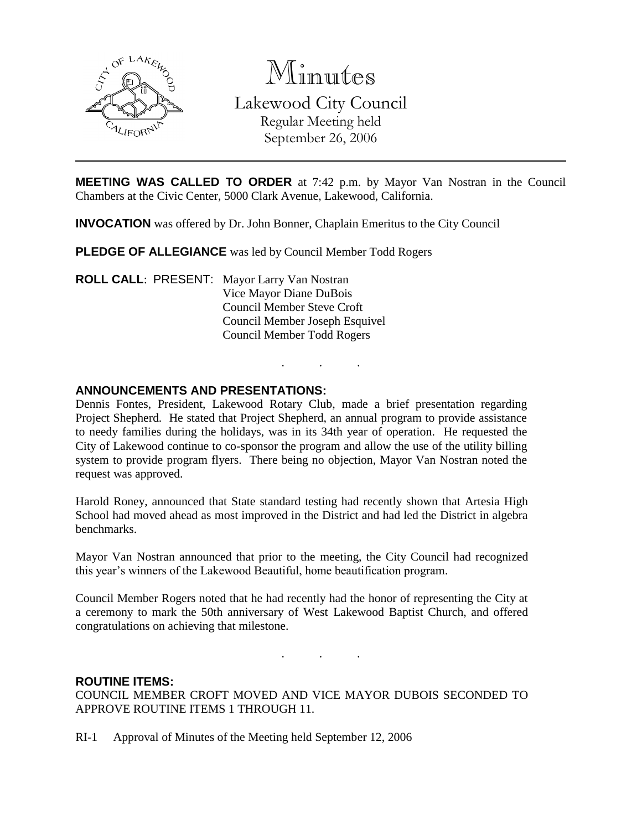

Minutes Lakewood City Council Regular Meeting held September 26, 2006

**MEETING WAS CALLED TO ORDER** at 7:42 p.m. by Mayor Van Nostran in the Council Chambers at the Civic Center, 5000 Clark Avenue, Lakewood, California.

**INVOCATION** was offered by Dr. John Bonner, Chaplain Emeritus to the City Council

**PLEDGE OF ALLEGIANCE** was led by Council Member Todd Rogers

**ROLL CALL**: PRESENT: Mayor Larry Van Nostran Vice Mayor Diane DuBois Council Member Steve Croft Council Member Joseph Esquivel Council Member Todd Rogers

#### **ANNOUNCEMENTS AND PRESENTATIONS:**

Dennis Fontes, President, Lakewood Rotary Club, made a brief presentation regarding Project Shepherd. He stated that Project Shepherd, an annual program to provide assistance to needy families during the holidays, was in its 34th year of operation. He requested the City of Lakewood continue to co-sponsor the program and allow the use of the utility billing system to provide program flyers. There being no objection, Mayor Van Nostran noted the request was approved.

. . .

Harold Roney, announced that State standard testing had recently shown that Artesia High School had moved ahead as most improved in the District and had led the District in algebra benchmarks.

Mayor Van Nostran announced that prior to the meeting, the City Council had recognized this year's winners of the Lakewood Beautiful, home beautification program.

Council Member Rogers noted that he had recently had the honor of representing the City at a ceremony to mark the 50th anniversary of West Lakewood Baptist Church, and offered congratulations on achieving that milestone.

. . .

#### **ROUTINE ITEMS:**

COUNCIL MEMBER CROFT MOVED AND VICE MAYOR DUBOIS SECONDED TO APPROVE ROUTINE ITEMS 1 THROUGH 11.

RI-1 Approval of Minutes of the Meeting held September 12, 2006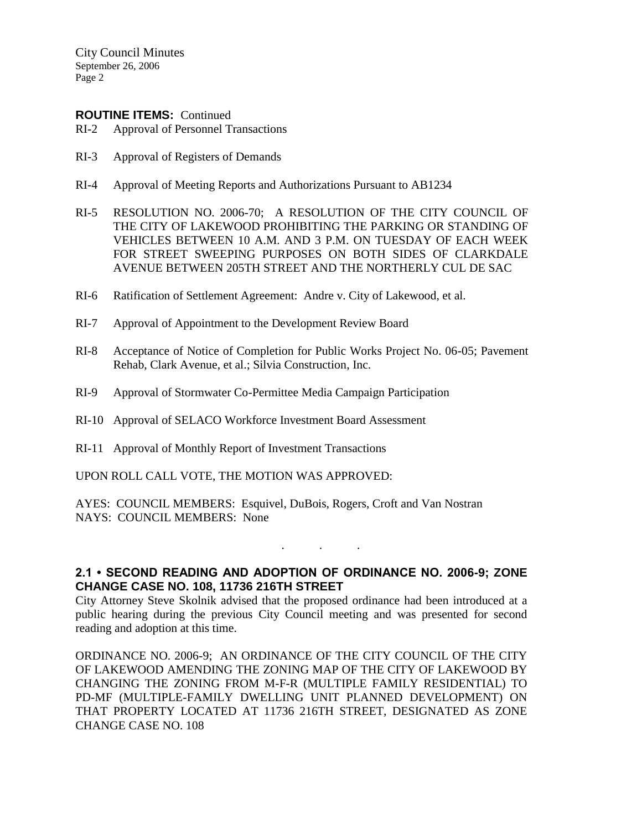City Council Minutes September 26, 2006 Page 2

#### **ROUTINE ITEMS:** Continued

- RI-2 Approval of Personnel Transactions
- RI-3 Approval of Registers of Demands
- RI-4 Approval of Meeting Reports and Authorizations Pursuant to AB1234
- RI-5 RESOLUTION NO. 2006-70; A RESOLUTION OF THE CITY COUNCIL OF THE CITY OF LAKEWOOD PROHIBITING THE PARKING OR STANDING OF VEHICLES BETWEEN 10 A.M. AND 3 P.M. ON TUESDAY OF EACH WEEK FOR STREET SWEEPING PURPOSES ON BOTH SIDES OF CLARKDALE AVENUE BETWEEN 205TH STREET AND THE NORTHERLY CUL DE SAC
- RI-6 Ratification of Settlement Agreement: Andre v. City of Lakewood, et al.
- RI-7 Approval of Appointment to the Development Review Board
- RI-8 Acceptance of Notice of Completion for Public Works Project No. 06-05; Pavement Rehab, Clark Avenue, et al.; Silvia Construction, Inc.
- RI-9 Approval of Stormwater Co-Permittee Media Campaign Participation
- RI-10 Approval of SELACO Workforce Investment Board Assessment
- RI-11 Approval of Monthly Report of Investment Transactions

UPON ROLL CALL VOTE, THE MOTION WAS APPROVED:

AYES: COUNCIL MEMBERS: Esquivel, DuBois, Rogers, Croft and Van Nostran NAYS: COUNCIL MEMBERS: None

# **2.1 • SECOND READING AND ADOPTION OF ORDINANCE NO. 2006-9; ZONE CHANGE CASE NO. 108, 11736 216TH STREET**

. . .

City Attorney Steve Skolnik advised that the proposed ordinance had been introduced at a public hearing during the previous City Council meeting and was presented for second reading and adoption at this time.

ORDINANCE NO. 2006-9; AN ORDINANCE OF THE CITY COUNCIL OF THE CITY OF LAKEWOOD AMENDING THE ZONING MAP OF THE CITY OF LAKEWOOD BY CHANGING THE ZONING FROM M-F-R (MULTIPLE FAMILY RESIDENTIAL) TO PD-MF (MULTIPLE-FAMILY DWELLING UNIT PLANNED DEVELOPMENT) ON THAT PROPERTY LOCATED AT 11736 216TH STREET, DESIGNATED AS ZONE CHANGE CASE NO. 108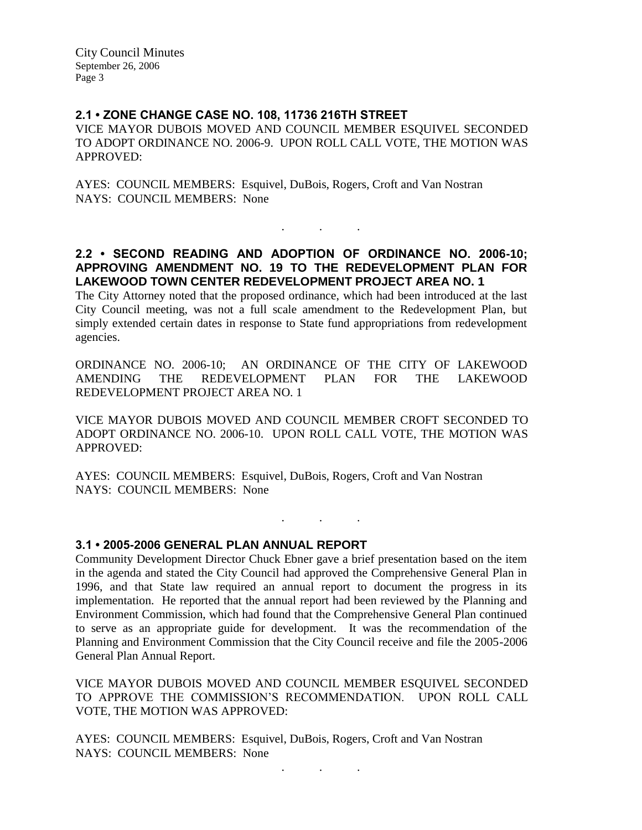City Council Minutes September 26, 2006 Page 3

# **2.1 • ZONE CHANGE CASE NO. 108, 11736 216TH STREET**

VICE MAYOR DUBOIS MOVED AND COUNCIL MEMBER ESQUIVEL SECONDED TO ADOPT ORDINANCE NO. 2006-9. UPON ROLL CALL VOTE, THE MOTION WAS APPROVED:

AYES: COUNCIL MEMBERS: Esquivel, DuBois, Rogers, Croft and Van Nostran NAYS: COUNCIL MEMBERS: None

# **2.2 • SECOND READING AND ADOPTION OF ORDINANCE NO. 2006-10; APPROVING AMENDMENT NO. 19 TO THE REDEVELOPMENT PLAN FOR LAKEWOOD TOWN CENTER REDEVELOPMENT PROJECT AREA NO. 1**

. . .

The City Attorney noted that the proposed ordinance, which had been introduced at the last City Council meeting, was not a full scale amendment to the Redevelopment Plan, but simply extended certain dates in response to State fund appropriations from redevelopment agencies.

ORDINANCE NO. 2006-10; AN ORDINANCE OF THE CITY OF LAKEWOOD AMENDING THE REDEVELOPMENT PLAN FOR THE LAKEWOOD REDEVELOPMENT PROJECT AREA NO. 1

VICE MAYOR DUBOIS MOVED AND COUNCIL MEMBER CROFT SECONDED TO ADOPT ORDINANCE NO. 2006-10. UPON ROLL CALL VOTE, THE MOTION WAS APPROVED:

. . .

AYES: COUNCIL MEMBERS: Esquivel, DuBois, Rogers, Croft and Van Nostran NAYS: COUNCIL MEMBERS: None

### **3.1 • 2005-2006 GENERAL PLAN ANNUAL REPORT**

Community Development Director Chuck Ebner gave a brief presentation based on the item in the agenda and stated the City Council had approved the Comprehensive General Plan in 1996, and that State law required an annual report to document the progress in its implementation. He reported that the annual report had been reviewed by the Planning and Environment Commission, which had found that the Comprehensive General Plan continued to serve as an appropriate guide for development. It was the recommendation of the Planning and Environment Commission that the City Council receive and file the 2005-2006 General Plan Annual Report.

VICE MAYOR DUBOIS MOVED AND COUNCIL MEMBER ESQUIVEL SECONDED TO APPROVE THE COMMISSION'S RECOMMENDATION. UPON ROLL CALL VOTE, THE MOTION WAS APPROVED:

AYES: COUNCIL MEMBERS: Esquivel, DuBois, Rogers, Croft and Van Nostran NAYS: COUNCIL MEMBERS: None

. . .